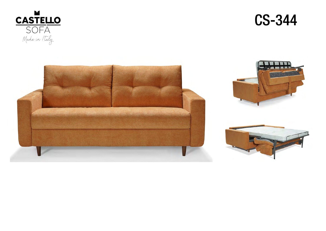